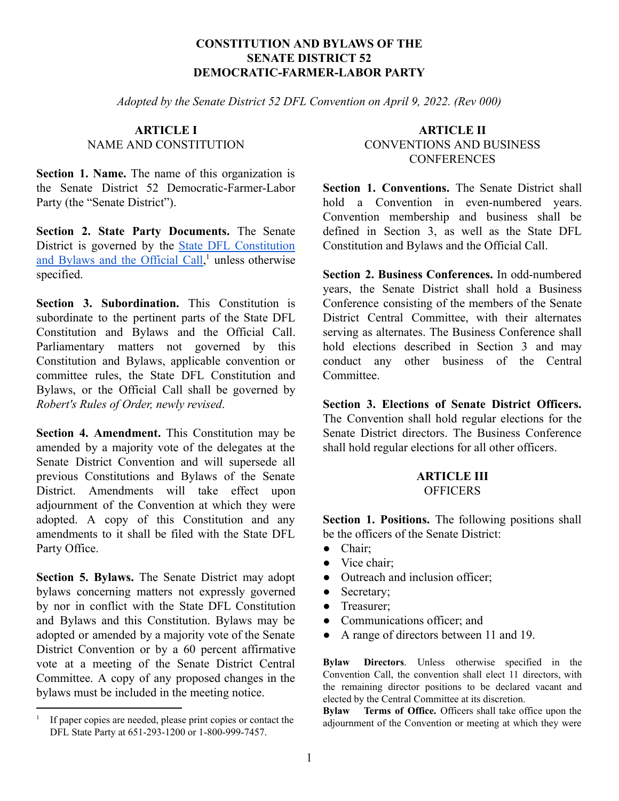#### **CONSTITUTION AND BYLAWS OF THE SENATE DISTRICT 52 DEMOCRATIC-FARMER-LABOR PARTY**

*Adopted by the Senate District 52 DFL Convention on April 9, 2022. (Rev 000)*

#### **ARTICLE I** NAME AND CONSTITUTION

**Section 1. Name.** The name of this organization is the Senate District 52 Democratic-Farmer-Labor Party (the "Senate District").

**Section 2. State Party Documents.** The Senate District is governed by the State DFL [Constitution](https://www.dfl.org/partydocuments/) and Bylaws and the [Official](https://www.dfl.org/partydocuments/)  $\overline{Call}$ , unless otherwise specified.

**Section 3. Subordination.** This Constitution is subordinate to the pertinent parts of the State DFL Constitution and Bylaws and the Official Call. Parliamentary matters not governed by this Constitution and Bylaws, applicable convention or committee rules, the State DFL Constitution and Bylaws, or the Official Call shall be governed by *Robert's Rules of Order, newly revised*.

**Section 4. Amendment.** This Constitution may be amended by a majority vote of the delegates at the Senate District Convention and will supersede all previous Constitutions and Bylaws of the Senate District. Amendments will take effect upon adjournment of the Convention at which they were adopted. A copy of this Constitution and any amendments to it shall be filed with the State DFL Party Office.

**Section 5. Bylaws.** The Senate District may adopt bylaws concerning matters not expressly governed by nor in conflict with the State DFL Constitution and Bylaws and this Constitution. Bylaws may be adopted or amended by a majority vote of the Senate District Convention or by a 60 percent affirmative vote at a meeting of the Senate District Central Committee. A copy of any proposed changes in the bylaws must be included in the meeting notice.

## **ARTICLE II** CONVENTIONS AND BUSINESS **CONFERENCES**

**Section 1. Conventions.** The Senate District shall hold a Convention in even-numbered years. Convention membership and business shall be defined in Section 3, as well as the State DFL Constitution and Bylaws and the Official Call.

**Section 2. Business Conferences.** In odd-numbered years, the Senate District shall hold a Business Conference consisting of the members of the Senate District Central Committee, with their alternates serving as alternates. The Business Conference shall hold elections described in Section 3 and may conduct any other business of the Central Committee.

**Section 3. Elections of Senate District Officers.** The Convention shall hold regular elections for the Senate District directors. The Business Conference shall hold regular elections for all other officers.

# **ARTICLE III OFFICERS**

**Section 1. Positions.** The following positions shall be the officers of the Senate District:

- Chair;
- Vice chair;
- Outreach and inclusion officer;
- Secretary;
- Treasurer;
- Communications officer: and
- A range of directors between 11 and 19.

**Bylaw Directors**. Unless otherwise specified in the Convention Call, the convention shall elect 11 directors, with the remaining director positions to be declared vacant and elected by the Central Committee at its discretion.

**Bylaw Terms of Office.** Officers shall take office upon the adjournment of the Convention or meeting at which they were

<sup>&</sup>lt;sup>1</sup> If paper copies are needed, please print copies or contact the DFL State Party at 651-293-1200 or 1-800-999-7457.